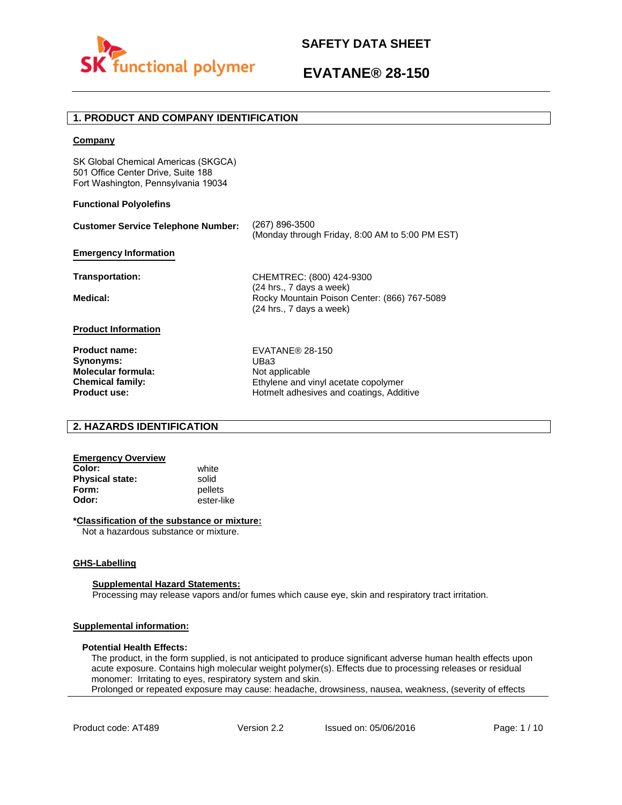

# **1. PRODUCT AND COMPANY IDENTIFICATION**

### **Company**

SK Global Chemical Americas (SKGCA) 501 Office Center Drive, Suite 188 Fort Washington, Pennsylvania 19034

### **Functional Polyolefins**

| <b>Customer Service Telephone Number:</b>               | (267) 896-3500<br>(Monday through Friday, 8:00 AM to 5:00 PM EST)                                    |
|---------------------------------------------------------|------------------------------------------------------------------------------------------------------|
| <b>Emergency Information</b>                            |                                                                                                      |
| Transportation:                                         | CHEMTREC: (800) 424-9300                                                                             |
| Medical:                                                | (24 hrs., 7 days a week)<br>Rocky Mountain Poison Center: (866) 767-5089<br>(24 hrs., 7 days a week) |
| <b>Product Information</b>                              |                                                                                                      |
| <b>Product name:</b><br>Synonyms:<br>Molecular formula: | EVATANE® 28-150<br>UBa3<br>Not applicable                                                            |
| <b>Chemical family:</b>                                 | Ethylene and vinyl acetate copolymer                                                                 |

### **2. HAZARDS IDENTIFICATION**

## **Emergency Overview**

**Color:** white **Physical state:** solid<br> **Form:** nellet **Form:** pellets<br> **Odor:** ester-li

**Product use:**

**Odor:** ester-like

### **\*Classification of the substance or mixture:**

Not a hazardous substance or mixture.

### **GHS-Labelling**

### **Supplemental Hazard Statements:**

Processing may release vapors and/or fumes which cause eye, skin and respiratory tract irritation.

### **Supplemental information:**

### **Potential Health Effects:**

The product, in the form supplied, is not anticipated to produce significant adverse human health effects upon acute exposure. Contains high molecular weight polymer(s). Effects due to processing releases or residual monomer: Irritating to eyes, respiratory system and skin. Prolonged or repeated exposure may cause: headache, drowsiness, nausea, weakness, (severity of effects

Hotmelt adhesives and coatings, Additive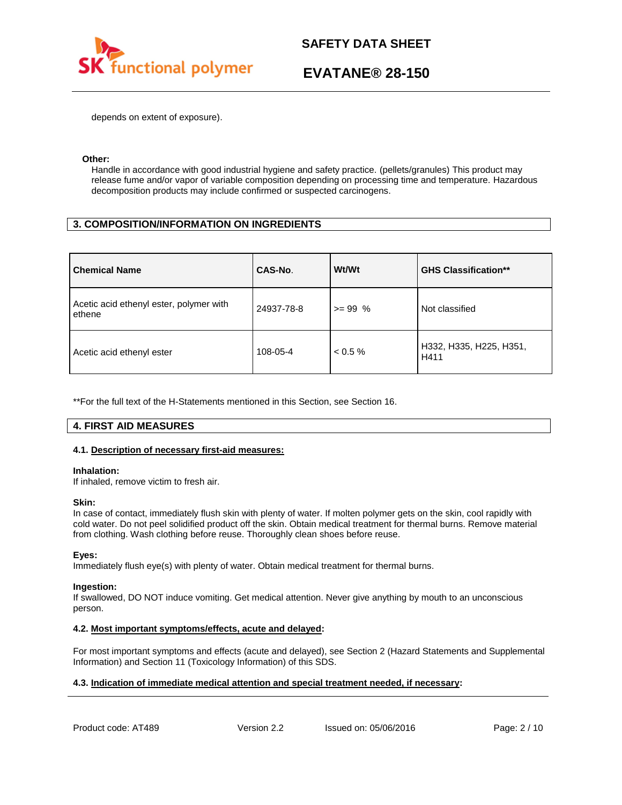

depends on extent of exposure).

### **Other:**

Handle in accordance with good industrial hygiene and safety practice. (pellets/granules) This product may release fume and/or vapor of variable composition depending on processing time and temperature. Hazardous decomposition products may include confirmed or suspected carcinogens.

## **3. COMPOSITION/INFORMATION ON INGREDIENTS**

| <b>Chemical Name</b>                              | CAS-No.    | Wt/Wt      | <b>GHS Classification**</b>     |
|---------------------------------------------------|------------|------------|---------------------------------|
| Acetic acid ethenyl ester, polymer with<br>ethene | 24937-78-8 | $>= 99 %$  | Not classified                  |
| Acetic acid ethenyl ester                         | 108-05-4   | $< 0.5 \%$ | H332, H335, H225, H351,<br>H411 |

\*\*For the full text of the H-Statements mentioned in this Section, see Section 16.

## **4. FIRST AID MEASURES**

### **4.1. Description of necessary first-aid measures:**

### **Inhalation:**

If inhaled, remove victim to fresh air.

### **Skin:**

In case of contact, immediately flush skin with plenty of water. If molten polymer gets on the skin, cool rapidly with cold water. Do not peel solidified product off the skin. Obtain medical treatment for thermal burns. Remove material from clothing. Wash clothing before reuse. Thoroughly clean shoes before reuse.

### **Eyes:**

Immediately flush eye(s) with plenty of water. Obtain medical treatment for thermal burns.

### **Ingestion:**

If swallowed, DO NOT induce vomiting. Get medical attention. Never give anything by mouth to an unconscious person.

### **4.2. Most important symptoms/effects, acute and delayed:**

For most important symptoms and effects (acute and delayed), see Section 2 (Hazard Statements and Supplemental Information) and Section 11 (Toxicology Information) of this SDS.

## **4.3. Indication of immediate medical attention and special treatment needed, if necessary:**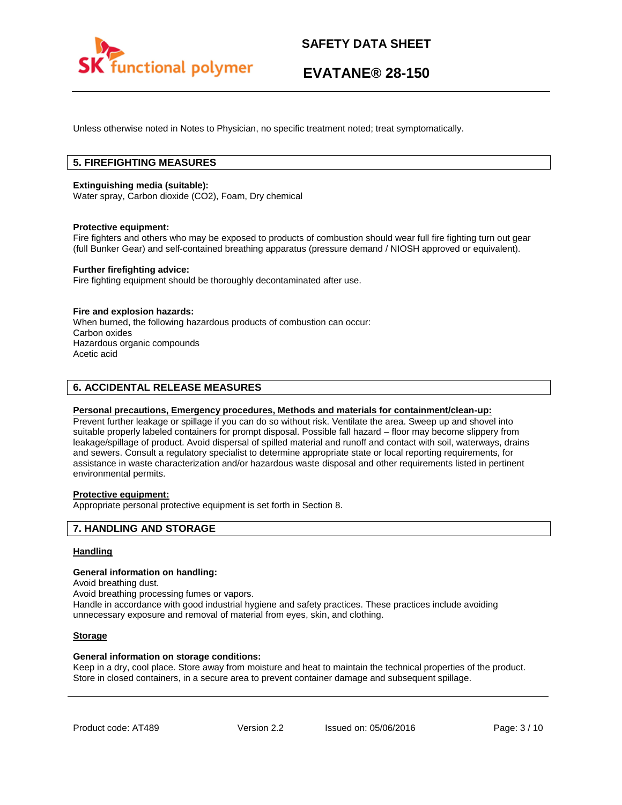

Unless otherwise noted in Notes to Physician, no specific treatment noted; treat symptomatically.

# **5. FIREFIGHTING MEASURES**

### **Extinguishing media (suitable):**

Water spray, Carbon dioxide (CO2), Foam, Dry chemical

### **Protective equipment:**

Fire fighters and others who may be exposed to products of combustion should wear full fire fighting turn out gear (full Bunker Gear) and self-contained breathing apparatus (pressure demand / NIOSH approved or equivalent).

### **Further firefighting advice:**

Fire fighting equipment should be thoroughly decontaminated after use.

### **Fire and explosion hazards:**

When burned, the following hazardous products of combustion can occur: Carbon oxides Hazardous organic compounds Acetic acid

## **6. ACCIDENTAL RELEASE MEASURES**

### **Personal precautions, Emergency procedures, Methods and materials for containment/clean-up:**

Prevent further leakage or spillage if you can do so without risk. Ventilate the area. Sweep up and shovel into suitable properly labeled containers for prompt disposal. Possible fall hazard – floor may become slippery from leakage/spillage of product. Avoid dispersal of spilled material and runoff and contact with soil, waterways, drains and sewers. Consult a regulatory specialist to determine appropriate state or local reporting requirements, for assistance in waste characterization and/or hazardous waste disposal and other requirements listed in pertinent environmental permits.

## **Protective equipment:**

Appropriate personal protective equipment is set forth in Section 8.

### **7. HANDLING AND STORAGE**

### **Handling**

### **General information on handling:**

Avoid breathing dust.

Avoid breathing processing fumes or vapors.

Handle in accordance with good industrial hygiene and safety practices. These practices include avoiding unnecessary exposure and removal of material from eyes, skin, and clothing.

### **Storage**

### **General information on storage conditions:**

Keep in a dry, cool place. Store away from moisture and heat to maintain the technical properties of the product. Store in closed containers, in a secure area to prevent container damage and subsequent spillage.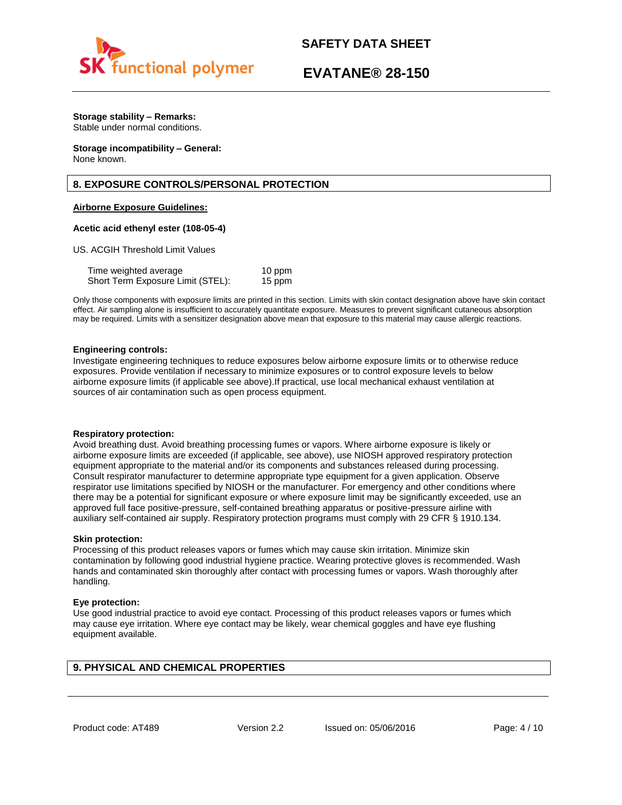

# **EVATANE® 28-150**

# **Storage stability – Remarks:**

Stable under normal conditions.

#### **Storage incompatibility – General:**  None known.

# **8. EXPOSURE CONTROLS/PERSONAL PROTECTION**

## **Airborne Exposure Guidelines:**

### **Acetic acid ethenyl ester (108-05-4)**

US. ACGIH Threshold Limit Values

| Time weighted average             | 10 ppm |
|-----------------------------------|--------|
| Short Term Exposure Limit (STEL): | 15 ppm |

Only those components with exposure limits are printed in this section. Limits with skin contact designation above have skin contact effect. Air sampling alone is insufficient to accurately quantitate exposure. Measures to prevent significant cutaneous absorption may be required. Limits with a sensitizer designation above mean that exposure to this material may cause allergic reactions.

### **Engineering controls:**

Investigate engineering techniques to reduce exposures below airborne exposure limits or to otherwise reduce exposures. Provide ventilation if necessary to minimize exposures or to control exposure levels to below airborne exposure limits (if applicable see above).If practical, use local mechanical exhaust ventilation at sources of air contamination such as open process equipment.

### **Respiratory protection:**

Avoid breathing dust. Avoid breathing processing fumes or vapors. Where airborne exposure is likely or airborne exposure limits are exceeded (if applicable, see above), use NIOSH approved respiratory protection equipment appropriate to the material and/or its components and substances released during processing. Consult respirator manufacturer to determine appropriate type equipment for a given application. Observe respirator use limitations specified by NIOSH or the manufacturer. For emergency and other conditions where there may be a potential for significant exposure or where exposure limit may be significantly exceeded, use an approved full face positive-pressure, self-contained breathing apparatus or positive-pressure airline with auxiliary self-contained air supply. Respiratory protection programs must comply with 29 CFR § 1910.134.

### **Skin protection:**

Processing of this product releases vapors or fumes which may cause skin irritation. Minimize skin contamination by following good industrial hygiene practice. Wearing protective gloves is recommended. Wash hands and contaminated skin thoroughly after contact with processing fumes or vapors. Wash thoroughly after handling.

### **Eye protection:**

Use good industrial practice to avoid eye contact. Processing of this product releases vapors or fumes which may cause eye irritation. Where eye contact may be likely, wear chemical goggles and have eye flushing equipment available.

# **9. PHYSICAL AND CHEMICAL PROPERTIES**

Product code: AT489 Version 2.2 Issued on: 05/06/2016 Page: 4/10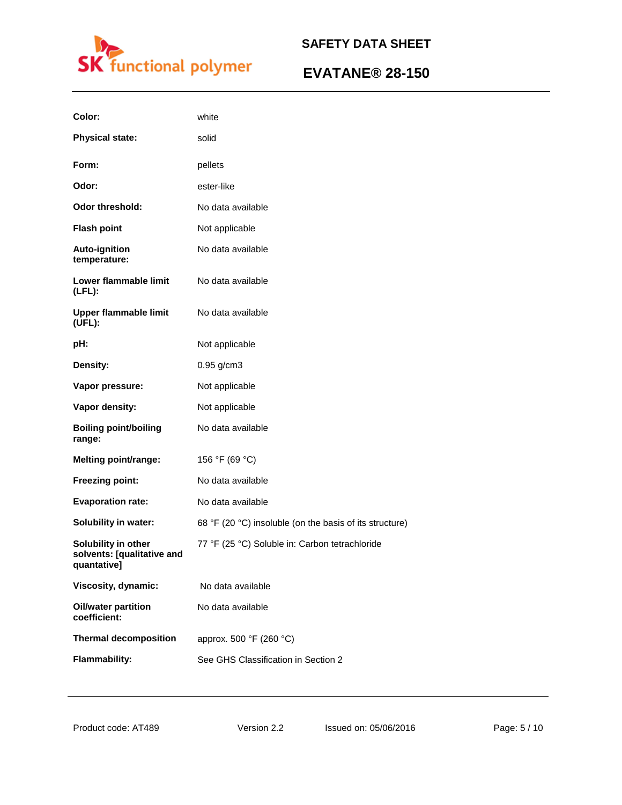

| Color:                                                           | white                                                   |
|------------------------------------------------------------------|---------------------------------------------------------|
| <b>Physical state:</b>                                           | solid                                                   |
| Form:                                                            | pellets                                                 |
| Odor:                                                            | ester-like                                              |
| <b>Odor threshold:</b>                                           | No data available                                       |
| <b>Flash point</b>                                               | Not applicable                                          |
| <b>Auto-ignition</b><br>temperature:                             | No data available                                       |
| Lower flammable limit<br>$(LFL)$ :                               | No data available                                       |
| <b>Upper flammable limit</b><br>(UEL):                           | No data available                                       |
| pH:                                                              | Not applicable                                          |
| Density:                                                         | 0.95 g/cm3                                              |
| Vapor pressure:                                                  | Not applicable                                          |
| Vapor density:                                                   | Not applicable                                          |
| <b>Boiling point/boiling</b><br>range:                           | No data available                                       |
| <b>Melting point/range:</b>                                      | 156 °F (69 °C)                                          |
| Freezing point:                                                  | No data available                                       |
| <b>Evaporation rate:</b>                                         | No data available                                       |
| <b>Solubility in water:</b>                                      | 68 °F (20 °C) insoluble (on the basis of its structure) |
| Solubility in other<br>solvents: [qualitative and<br>quantative] | 77 °F (25 °C) Soluble in: Carbon tetrachloride          |
| Viscosity, dynamic:                                              | No data available                                       |
| <b>Oil/water partition</b><br>coefficient:                       | No data available                                       |
| <b>Thermal decomposition</b>                                     | approx. 500 °F (260 °C)                                 |
| <b>Flammability:</b>                                             | See GHS Classification in Section 2                     |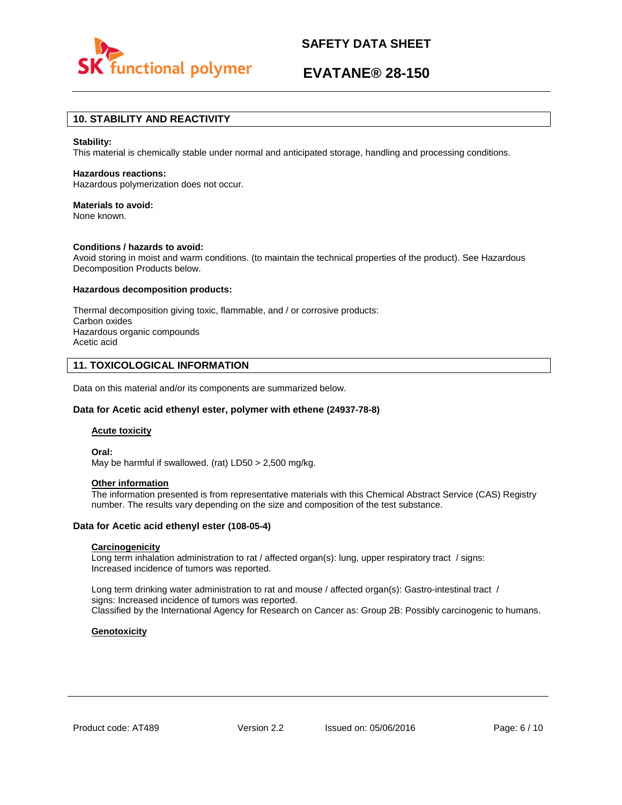

# **EVATANE® 28-150**

# **10. STABILITY AND REACTIVITY**

### **Stability:**

This material is chemically stable under normal and anticipated storage, handling and processing conditions.

#### **Hazardous reactions:**

Hazardous polymerization does not occur.

### **Materials to avoid:**

None known.

### **Conditions / hazards to avoid:**

Avoid storing in moist and warm conditions. (to maintain the technical properties of the product). See Hazardous Decomposition Products below.

#### **Hazardous decomposition products:**

Thermal decomposition giving toxic, flammable, and / or corrosive products: Carbon oxides Hazardous organic compounds Acetic acid

### **11. TOXICOLOGICAL INFORMATION**

Data on this material and/or its components are summarized below.

### **Data for Acetic acid ethenyl ester, polymer with ethene (24937-78-8)**

### **Acute toxicity**

**Oral:**

May be harmful if swallowed. (rat) LD50 > 2,500 mg/kg.

### **Other information**

The information presented is from representative materials with this Chemical Abstract Service (CAS) Registry number. The results vary depending on the size and composition of the test substance.

### **Data for Acetic acid ethenyl ester (108-05-4)**

### **Carcinogenicity**

Long term inhalation administration to rat / affected organ(s): lung, upper respiratory tract / signs: Increased incidence of tumors was reported.

Long term drinking water administration to rat and mouse / affected organ(s): Gastro-intestinal tract / signs: Increased incidence of tumors was reported. Classified by the International Agency for Research on Cancer as: Group 2B: Possibly carcinogenic to humans.

### **Genotoxicity**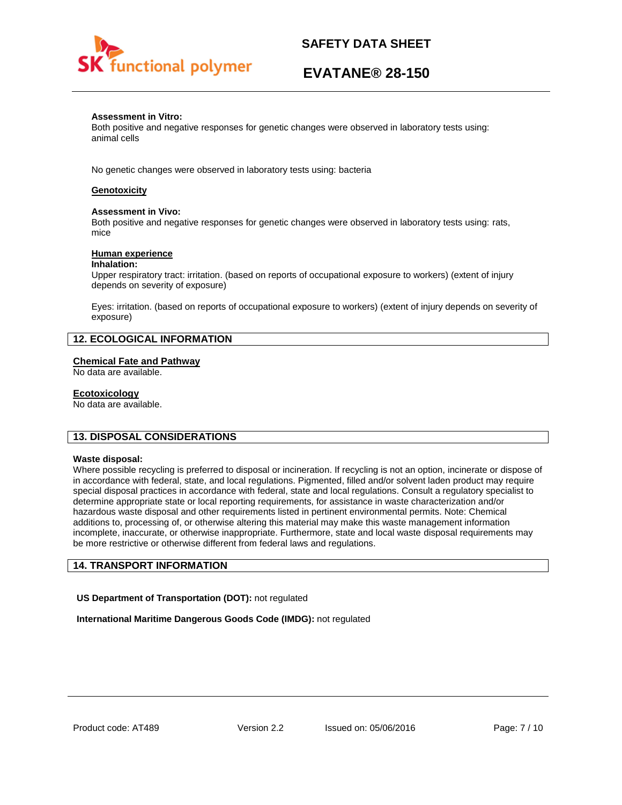

# **EVATANE® 28-150**

### **Assessment in Vitro:**

Both positive and negative responses for genetic changes were observed in laboratory tests using: animal cells

No genetic changes were observed in laboratory tests using: bacteria

## **Genotoxicity**

### **Assessment in Vivo:**

Both positive and negative responses for genetic changes were observed in laboratory tests using: rats, mice

### **Human experience**

### **Inhalation:**

Upper respiratory tract: irritation. (based on reports of occupational exposure to workers) (extent of injury depends on severity of exposure)

Eyes: irritation. (based on reports of occupational exposure to workers) (extent of injury depends on severity of exposure)

## **12. ECOLOGICAL INFORMATION**

### **Chemical Fate and Pathway**

No data are available.

### **Ecotoxicology**

No data are available.

### **13. DISPOSAL CONSIDERATIONS**

### **Waste disposal:**

Where possible recycling is preferred to disposal or incineration. If recycling is not an option, incinerate or dispose of in accordance with federal, state, and local regulations. Pigmented, filled and/or solvent laden product may require special disposal practices in accordance with federal, state and local regulations. Consult a regulatory specialist to determine appropriate state or local reporting requirements, for assistance in waste characterization and/or hazardous waste disposal and other requirements listed in pertinent environmental permits. Note: Chemical additions to, processing of, or otherwise altering this material may make this waste management information incomplete, inaccurate, or otherwise inappropriate. Furthermore, state and local waste disposal requirements may be more restrictive or otherwise different from federal laws and regulations.

## **14. TRANSPORT INFORMATION**

**US Department of Transportation (DOT):** not regulated

**International Maritime Dangerous Goods Code (IMDG):** not regulated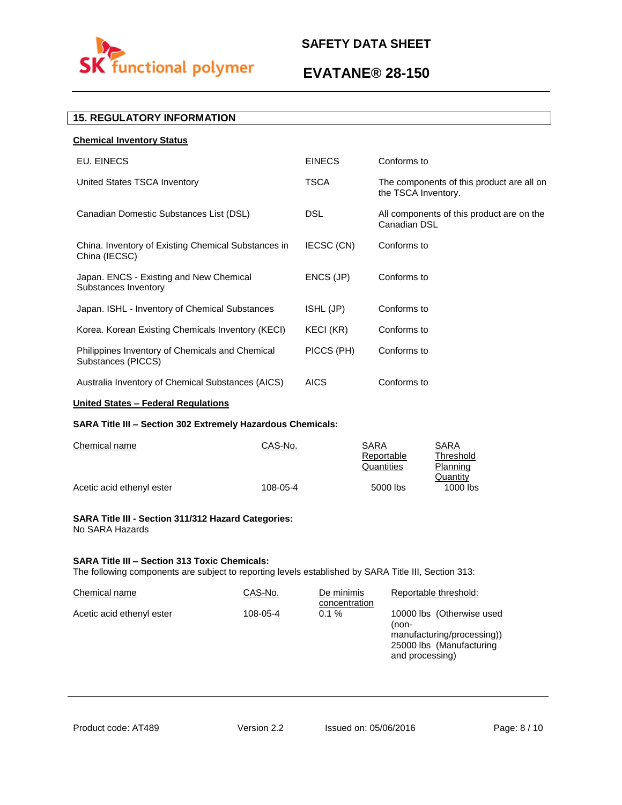

# **EVATANE® 28-150**

# **15. REGULATORY INFORMATION**

| <b>Chemical Inventory Status</b>                                      |               |                                                                  |
|-----------------------------------------------------------------------|---------------|------------------------------------------------------------------|
| EU. EINECS                                                            | <b>EINECS</b> | Conforms to                                                      |
| United States TSCA Inventory                                          | <b>TSCA</b>   | The components of this product are all on<br>the TSCA Inventory. |
| Canadian Domestic Substances List (DSL)                               | DSL.          | All components of this product are on the<br>Canadian DSL        |
| China. Inventory of Existing Chemical Substances in<br>China (IECSC)  | IECSC (CN)    | Conforms to                                                      |
| Japan. ENCS - Existing and New Chemical<br>Substances Inventory       | ENCS (JP)     | Conforms to                                                      |
| Japan. ISHL - Inventory of Chemical Substances                        | ISHL (JP)     | Conforms to                                                      |
| Korea. Korean Existing Chemicals Inventory (KECI)                     | KECI (KR)     | Conforms to                                                      |
| Philippines Inventory of Chemicals and Chemical<br>Substances (PICCS) | PICCS (PH)    | Conforms to                                                      |
| Australia Inventory of Chemical Substances (AICS)                     | <b>AICS</b>   | Conforms to                                                      |

## **United States – Federal Regulations**

## **SARA Title III – Section 302 Extremely Hazardous Chemicals:**

| Chemical name             | CAS-No.  | SARA       | SARA       |
|---------------------------|----------|------------|------------|
|                           |          | Reportable | Threshold  |
|                           |          | Quantities | Planning   |
|                           |          |            | Quantity   |
| Acetic acid ethenyl ester | 108-05-4 | 5000 lbs   | $1000$ lbs |

### **SARA Title III - Section 311/312 Hazard Categories:**  No SARA Hazards

### **SARA Title III – Section 313 Toxic Chemicals:**

The following components are subject to reporting levels established by SARA Title III, Section 313:

| Chemical name             | CAS-No.  | De minimis<br>concentration | Reportable threshold:                                                                                           |
|---------------------------|----------|-----------------------------|-----------------------------------------------------------------------------------------------------------------|
| Acetic acid ethenyl ester | 108-05-4 | $0.1 \%$                    | 10000 lbs (Otherwise used<br>(non-<br>manufacturing/processing))<br>25000 lbs (Manufacturing<br>and processing) |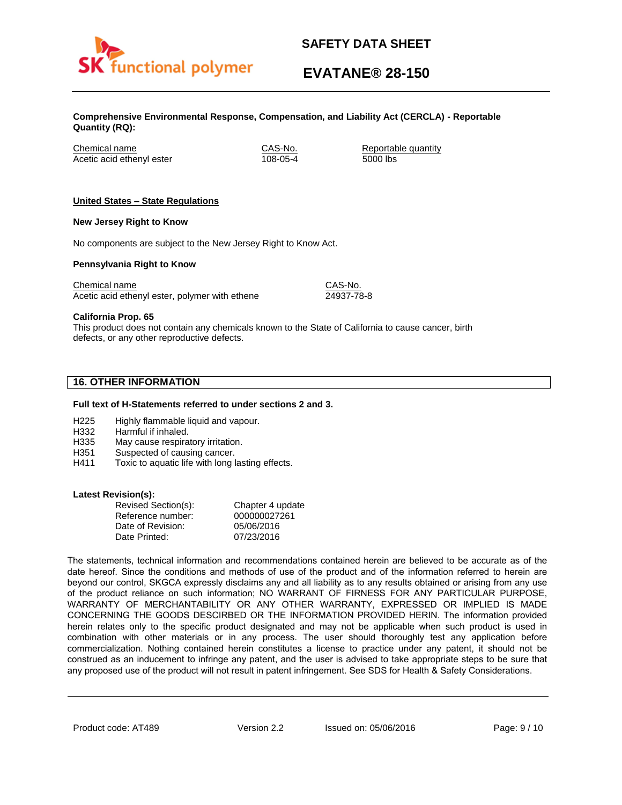

# **EVATANE® 28-150**

**Comprehensive Environmental Response, Compensation, and Liability Act (CERCLA) - Reportable Quantity (RQ):**

Chemical name CAS-No. Reportable quantity Acetic acid ethenyl ester 108-05-4 5000 lbs

## **United States – State Regulations**

### **New Jersey Right to Know**

No components are subject to the New Jersey Right to Know Act.

### **Pennsylvania Right to Know**

Chemical name Chemical name CAS-No. Acetic acid ethenyl ester, polymer with ethene 24937-78-8

**California Prop. 65**

This product does not contain any chemicals known to the State of California to cause cancer, birth defects, or any other reproductive defects.

# **16. OTHER INFORMATION**

### **Full text of H-Statements referred to under sections 2 and 3.**

- H225 Highly flammable liquid and vapour.
- H332 Harmful if inhaled.
- H335 May cause respiratory irritation.
- H351 Suspected of causing cancer.
- H411 Toxic to aquatic life with long lasting effects.

### **Latest Revision(s):**

| Revised Section(s): | Chapter 4 update |
|---------------------|------------------|
| Reference number:   | 000000027261     |
| Date of Revision:   | 05/06/2016       |
| Date Printed:       | 07/23/2016       |

The statements, technical information and recommendations contained herein are believed to be accurate as of the date hereof. Since the conditions and methods of use of the product and of the information referred to herein are beyond our control, SKGCA expressly disclaims any and all liability as to any results obtained or arising from any use of the product reliance on such information; NO WARRANT OF FIRNESS FOR ANY PARTICULAR PURPOSE, WARRANTY OF MERCHANTABILITY OR ANY OTHER WARRANTY, EXPRESSED OR IMPLIED IS MADE CONCERNING THE GOODS DESCIRBED OR THE INFORMATION PROVIDED HERIN. The information provided herein relates only to the specific product designated and may not be applicable when such product is used in combination with other materials or in any process. The user should thoroughly test any application before commercialization. Nothing contained herein constitutes a license to practice under any patent, it should not be construed as an inducement to infringe any patent, and the user is advised to take appropriate steps to be sure that any proposed use of the product will not result in patent infringement. See SDS for Health & Safety Considerations.

Product code: AT489 Version 2.2 Issued on: 05/06/2016 Page: 9/10